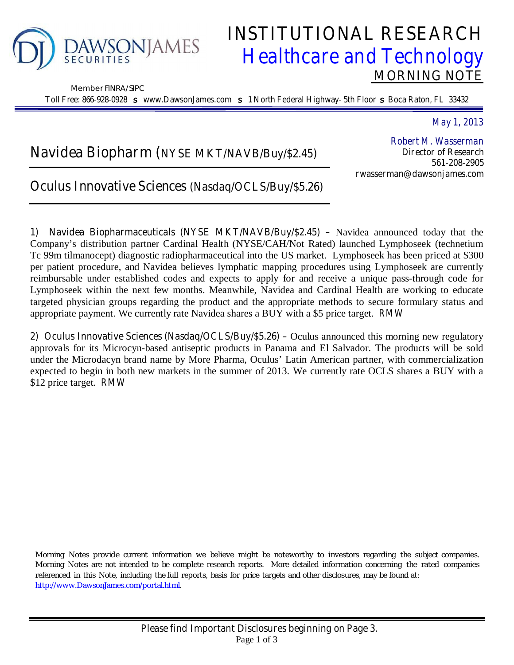

Member FINRA/SIPC

# **INSTITUTIONAL RESEARCH**  *Healthcare and Technology*  **MORNING NOTE**

**Toll Free: 866-928-0928** s **www.DawsonJames.com** s **1 North Federal Highway- 5th Floor** s **Boca Raton, FL 33432**

*May 1, 2013* 

# **Navidea Biopharm (NYSE MKT/NAVB/Buy/\$2.45)**

*Robert M. Wasserman*  **Director of Research 561-208-2905 rwasserman@dawsonjames.com** 

## **Oculus Innovative Sciences (Nasdaq/OCLS/Buy/\$5.26)**

**1) Navidea Biopharmaceuticals (NYSE MKT/NAVB/Buy/\$2.45) –** Navidea announced today that the Company's distribution partner Cardinal Health (NYSE/CAH/Not Rated) launched Lymphoseek (technetium Tc 99m tilmanocept) diagnostic radiopharmaceutical into the US market. Lymphoseek has been priced at \$300 per patient procedure, and Navidea believes lymphatic mapping procedures using Lymphoseek are currently reimbursable under established codes and expects to apply for and receive a unique pass-through code for Lymphoseek within the next few months. Meanwhile, Navidea and Cardinal Health are working to educate targeted physician groups regarding the product and the appropriate methods to secure formulary status and appropriate payment. We currently rate Navidea shares a BUY with a \$5 price target. *RMW*

**2) Oculus Innovative Sciences (Nasdaq/OCLS/Buy/\$5.26) –** Oculus announced this morning new regulatory approvals for its Microcyn-based antiseptic products in Panama and El Salvador. The products will be sold under the Microdacyn brand name by More Pharma, Oculus' Latin American partner, with commercialization expected to begin in both new markets in the summer of 2013. We currently rate OCLS shares a BUY with a \$12 price target. *RMW*

Morning Notes provide current information we believe might be noteworthy to investors regarding the subject companies. Morning Notes are not intended to be complete research reports. More detailed information concerning the rated companies referenced in this Note, including the full reports, basis for price targets and other disclosures, may be found at: http://www.DawsonJames.com/portal.html.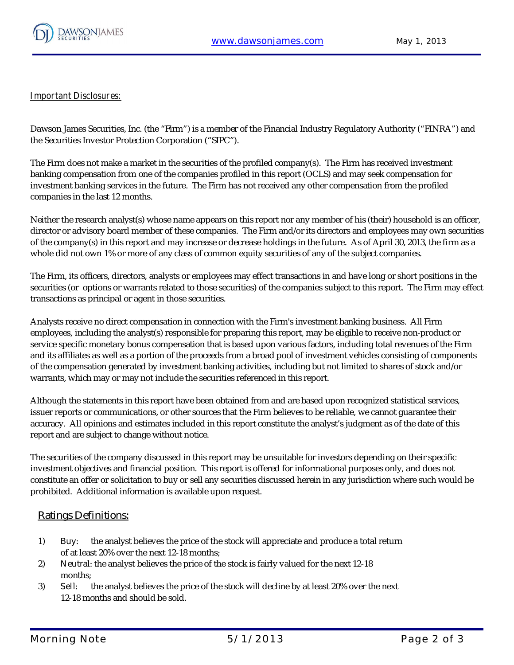

#### **Important Disclosures:**

Dawson James Securities, Inc. (the "Firm") is a member of the Financial Industry Regulatory Authority ("FINRA") and the Securities Investor Protection Corporation ("SIPC").

The Firm does not make a market in the securities of the profiled company(s). The Firm has received investment banking compensation from one of the companies profiled in this report (OCLS) and may seek compensation for investment banking services in the future. The Firm has not received any other compensation from the profiled companies in the last 12 months.

Neither the research analyst(s) whose name appears on this report nor any member of his (their) household is an officer, director or advisory board member of these companies. The Firm and/or its directors and employees may own securities of the company(s) in this report and may increase or decrease holdings in the future. As of April 30, 2013, the firm as a whole did not own 1% or more of any class of common equity securities of any of the subject companies.

The Firm, its officers, directors, analysts or employees may effect transactions in and have long or short positions in the securities (or options or warrants related to those securities) of the companies subject to this report. The Firm may effect transactions as principal or agent in those securities.

Analysts receive no direct compensation in connection with the Firm's investment banking business. All Firm employees, including the analyst(s) responsible for preparing this report, may be eligible to receive non-product or service specific monetary bonus compensation that is based upon various factors, including total revenues of the Firm and its affiliates as well as a portion of the proceeds from a broad pool of investment vehicles consisting of components of the compensation generated by investment banking activities, including but not limited to shares of stock and/or warrants, which may or may not include the securities referenced in this report.

Although the statements in this report have been obtained from and are based upon recognized statistical services, issuer reports or communications, or other sources that the Firm believes to be reliable, we cannot guarantee their accuracy. All opinions and estimates included in this report constitute the analyst's judgment as of the date of this report and are subject to change without notice.

The securities of the company discussed in this report may be unsuitable for investors depending on their specific investment objectives and financial position. This report is offered for informational purposes only, and does not constitute an offer or solicitation to buy or sell any securities discussed herein in any jurisdiction where such would be prohibited. Additional information is available upon request.

#### **Ratings Definitions:**

- 1) **Buy**: the analyst believes the price of the stock will appreciate and produce a total return of at least 20% over the next 12-18 months;
- 2) **Neutra**l: the analyst believes the price of the stock is fairly valued for the next 12-18 months;
- 3) **Sel**l: the analyst believes the price of the stock will decline by at least 20% over the next 12-18 months and should be sold.